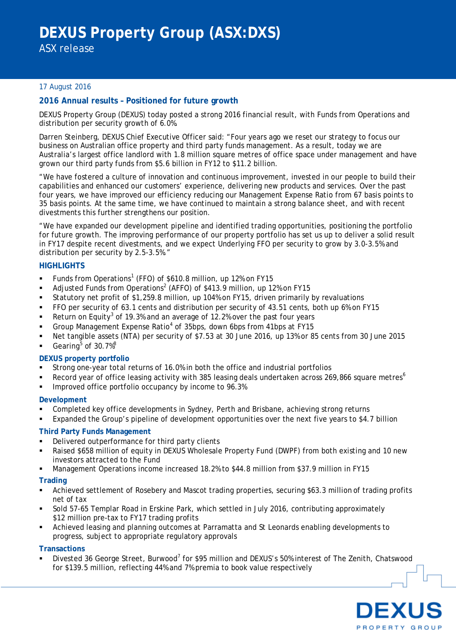ASX release

## 17 August 2016

## **2016 Annual results – Positioned for future growth**

DEXUS Property Group (DEXUS) today posted a strong 2016 financial result, with Funds from Operations and distribution per security growth of 6.0%.

Darren Steinberg, DEXUS Chief Executive Officer said: "Four years ago we reset our strategy to focus our business on Australian office property and third party funds management. As a result, today we are Australia's largest office landlord with 1.8 million square metres of office space under management and have grown our third party funds from \$5.6 billion in FY12 to \$11.2 billion.

"We have fostered a culture of innovation and continuous improvement, invested in our people to build their capabilities and enhanced our customers' experience, delivering new products and services. Over the past four years, we have improved our efficiency reducing our Management Expense Ratio from 67 basis points to 35 basis points. At the same time, we have continued to maintain a strong balance sheet, and with recent divestments this further strengthens our position.

"We have expanded our development pipeline and identified trading opportunities, positioning the portfolio for future growth. The improving performance of our property portfolio has set us up to deliver a solid result in FY17 despite recent divestments, and we expect Underlying FFO per security to grow by 3.0-3.5% and distribution per security by 2.5-3.5%."

## **HIGHLIGHTS**

- Funds from Operations<sup>[1](#page-5-0)</sup> (FFO) of \$610.8 million, up 12% on FY15
- Adjusted Funds from Operations<sup>[2](#page-5-1)</sup> (AFFO) of \$413.9 million, up 12% on FY15
- Statutory net profit of \$1,259.8 million, up 104% on FY15, driven primarily by revaluations
- FFO per security of 63.1 cents and distribution per security of 43.51 cents, both up 6% on FY15
- Return on Equity<sup>[3](#page-5-2)</sup> of 19.3% and an average of 12.2% over the past four years
- Group Management Expense Ratio<sup>[4](#page-5-3)</sup> of 35bps, down 6bps from 41bps at FY15
- Net tangible assets (NTA) per security of \$7.53 at 30 June 2016, up 13% or 85 cents from 30 June 2015
- Gearing $5$  of 30.7% $8$

## **DEXUS property portfolio**

- Strong one-year total returns of 16.0% in both the office and industrial portfolios
- Record year of office leasing activity with 385 leasing deals undertaken across 2[6](#page-5-5)9,866 square metres<sup>6</sup>
- Improved office portfolio occupancy by income to 96.3%

#### **Development**

- Completed key office developments in Sydney, Perth and Brisbane, achieving strong returns
- Expanded the Group's pipeline of development opportunities over the next five years to \$4.7 billion

## **Third Party Funds Management**

- Delivered outperformance for third party clients
- Raised \$658 million of equity in DEXUS Wholesale Property Fund (DWPF) from both existing and 10 new investors attracted to the Fund
- Management Operations income increased 18.2% to \$44.8 million from \$37.9 million in FY15

## **Trading**

- Achieved settlement of Rosebery and Mascot trading properties, securing \$63.3 million of trading profits net of tax
- Sold 57-65 Templar Road in Erskine Park, which settled in July 2016, contributing approximately \$12 million pre-tax to FY17 trading profits
- Achieved leasing and planning outcomes at Parramatta and St Leonards enabling developments to progress, subject to appropriate regulatory approvals

## **Transactions**

Divested 36 George Street, Burwood<sup>[7](#page-5-6)</sup> for \$95 million and DEXUS's 50% interest of The Zenith, Chatswood for \$139.5 million, reflecting 44% and 7% premia to book value respectively

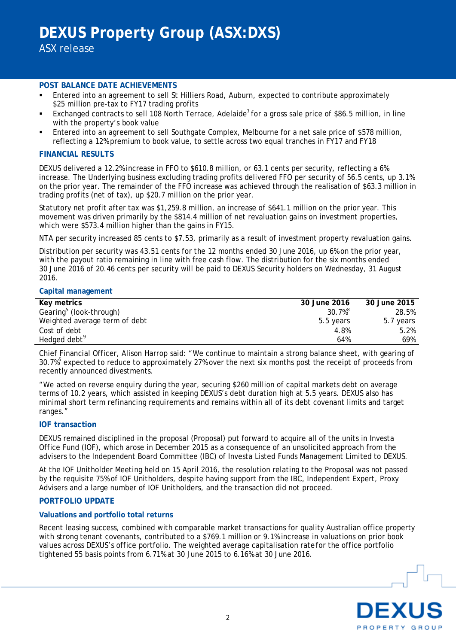ASX release

#### **POST BALANCE DATE ACHIEVEMENTS**

- Entered into an agreement to sell St Hilliers Road, Auburn, expected to contribute approximately \$25 million pre-tax to FY17 trading profits
- Exchanged contracts to sell 108 North Terrace, Adelaide<sup>7</sup> for a gross sale price of \$86.5 million, in line with the property's book value
- Entered into an agreement to sell Southgate Complex, Melbourne for a net sale price of \$578 million, reflecting a 12% premium to book value, to settle across two equal tranches in FY17 and FY18

## **FINANCIAL RESULTS**

DEXUS delivered a 12.2% increase in FFO to \$610.8 million, or 63.1 cents per security, reflecting a 6% increase. The Underlying business excluding trading profits delivered FFO per security of 56.5 cents, up 3.1% on the prior year. The remainder of the FFO increase was achieved through the realisation of \$63.3 million in trading profits (net of tax), up \$20.7 million on the prior year.

Statutory net profit after tax was \$1,259.8 million, an increase of \$641.1 million on the prior year. This movement was driven primarily by the \$814.4 million of net revaluation gains on investment properties, which were \$573.4 million higher than the gains in FY15.

NTA per security increased 85 cents to \$7.53, primarily as a result of investment property revaluation gains.

Distribution per security was 43.51 cents for the 12 months ended 30 June 2016, up 6% on the prior year, with the payout ratio remaining in line with free cash flow. The distribution for the six months ended 30 June 2016 of 20.46 cents per security will be paid to DEXUS Security holders on Wednesday, 31 August 2016.

#### **Capital management**

| Key metrics                         | 30 June 2016 | 30 June 2015 |
|-------------------------------------|--------------|--------------|
| Gearing <sup>5</sup> (look-through) | 30.7%        | 28.5%        |
| Weighted average term of debt       | 5.5 years    | 5.7 years    |
| Cost of debt                        | 4.8%         | 5.2%         |
| Hedged debt <sup>9</sup>            | 64%          | 69%          |

Chief Financial Officer, Alison Harrop said: "We continue to maintain a strong balance sheet, with gearing of  $30.7\%$ <sup>5</sup> expected to reduce to approximately 27% over the next six months post the receipt of proceeds from recently announced divestments.

"We acted on reverse enquiry during the year, securing \$260 million of capital markets debt on average terms of 10.2 years, which assisted in keeping DEXUS's debt duration high at 5.5 years. DEXUS also has minimal short term refinancing requirements and remains within all of its debt covenant limits and target ranges."

## **IOF transaction**

DEXUS remained disciplined in the proposal (Proposal) put forward to acquire all of the units in Investa Office Fund (IOF), which arose in December 2015 as a consequence of an unsolicited approach from the advisers to the Independent Board Committee (IBC) of Investa Listed Funds Management Limited to DEXUS.

At the IOF Unitholder Meeting held on 15 April 2016, the resolution relating to the Proposal was not passed by the requisite 75% of IOF Unitholders, despite having support from the IBC, Independent Expert, Proxy Advisers and a large number of IOF Unitholders, and the transaction did not proceed.

## **PORTFOLIO UPDATE**

## **Valuations and portfolio total returns**

Recent leasing success, combined with comparable market transactions for quality Australian office property with strong tenant covenants, contributed to a \$769.1 million or 9.1% increase in valuations on prior book values across DEXUS's office portfolio. The weighted average capitalisation ratefor the office portfolio tightened 55 basis points from 6.71% at 30 June 2015 to 6.16% at 30 June 2016.

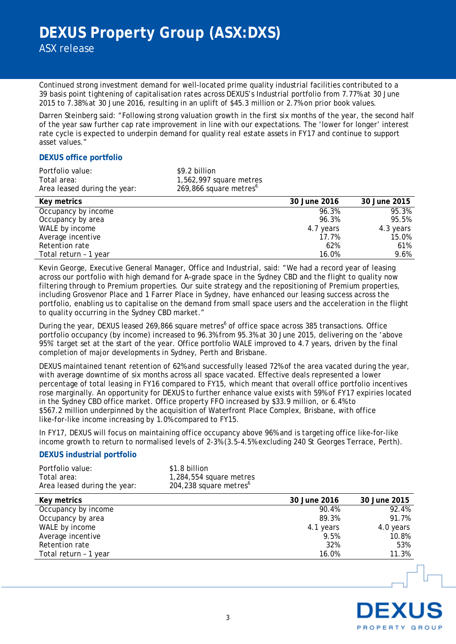Continued strong investment demand for well-located prime quality industrial facilities contributed to a 39 basis point tightening of capitalisation rates across DEXUS's Industrial portfolio from 7.77% at 30 June 2015 to 7.38% at 30 June 2016, resulting in an uplift of \$45.3 million or 2.7% on prior book values.

Darren Steinberg said: "Following strong valuation growth in the first six months of the year, the second half of the year saw further cap rate improvement in line with our expectations. The 'lower for longer' interest rate cycle is expected to underpin demand for quality real estate assets in FY17 and continue to support asset values."

## **DEXUS office portfolio**

| Portfolio value:             | \$9.2 billion                      |
|------------------------------|------------------------------------|
| Total area:                  | 1,562,997 square metres            |
| Area leased during the year: | 269,866 square metres <sup>6</sup> |

| Key metrics           | 30 June 2016 | 30 June 2015 |
|-----------------------|--------------|--------------|
| Occupancy by income   | 96.3%        | 95.3%        |
| Occupancy by area     | 96.3%        | 95.5%        |
| WALE by income        | 4.7 years    | 4.3 years    |
| Average incentive     | 17.7%        | 15.0%        |
| Retention rate        | 62%          | 61%          |
| Total return - 1 year | 16.0%        | 9.6%         |

Kevin George, Executive General Manager, Office and Industrial, said: "We had a record year of leasing across our portfolio with high demand for A-grade space in the Sydney CBD and the flight to quality now filtering through to Premium properties. Our suite strategy and the repositioning of Premium properties, including Grosvenor Place and 1 Farrer Place in Sydney, have enhanced our leasing success across the portfolio, enabling us to capitalise on the demand from small space users and the acceleration in the flight to quality occurring in the Sydney CBD market."

During the year, DEXUS leased 269,866 square metres<sup>6</sup> of office space across 385 transactions. Office portfolio occupancy (by income) increased to 96.3% from 95.3% at 30 June 2015, delivering on the 'above 95%' target set at the start of the year. Office portfolio WALE improved to 4.7 years, driven by the final completion of major developments in Sydney, Perth and Brisbane.

DEXUS maintained tenant retention of 62% and successfully leased 72% of the area vacated during the year, with average downtime of six months across all space vacated. Effective deals represented a lower percentage of total leasing in FY16 compared to FY15, which meant that overall office portfolio incentives rose marginally. An opportunity for DEXUS to further enhance value exists with 59% of FY17 expiries located in the Sydney CBD office market. Office property FFO increased by \$33.9 million, or 6.4% to \$567.2 million underpinned by the acquisition of Waterfront Place Complex, Brisbane, with office like-for-like income increasing by 1.0% compared to FY15.

In FY17, DEXUS will focus on maintaining office occupancy above 96% and is targeting office like-for-like income growth to return to normalised levels of 2-3% (3.5-4.5% excluding 240 St Georges Terrace, Perth).

## **DEXUS industrial portfolio**

| Portfolio value:             | \$1.8 billion                      |
|------------------------------|------------------------------------|
| Total area:                  | 1,284,554 square metres            |
| Area leased during the year: | 204,238 square metres <sup>6</sup> |

| Key metrics           | 30 June 2016 | 30 June 2015 |
|-----------------------|--------------|--------------|
| Occupancy by income   | 90.4%        | 92.4%        |
| Occupancy by area     | 89.3%        | 91.7%        |
| WALE by income        | 4.1 years    | 4.0 years    |
| Average incentive     | 9.5%         | 10.8%        |
| Retention rate        | 32%          | 53%          |
| Total return - 1 year | 16.0%        | 11.3%        |

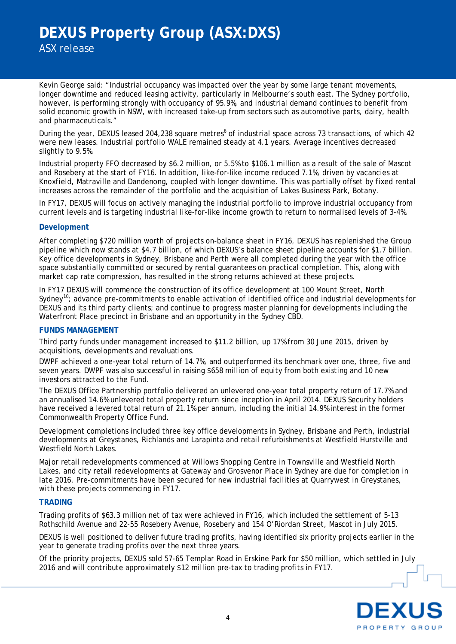ASX release

Kevin George said: "Industrial occupancy was impacted over the year by some large tenant movements, longer downtime and reduced leasing activity, particularly in Melbourne's south east. The Sydney portfolio, however, is performing strongly with occupancy of 95.9%, and industrial demand continues to benefit from solid economic growth in NSW, with increased take-up from sectors such as automotive parts, dairy, health and pharmaceuticals."

During the year, DEXUS leased 204,238 square metres<sup>6</sup> of industrial space across 73 transactions, of which 42 were new leases. Industrial portfolio WALE remained steady at 4.1 years. Average incentives decreased slightly to 9.5%.

Industrial property FFO decreased by \$6.2 million, or 5.5% to \$106.1 million as a result of the sale of Mascot and Rosebery at the start of FY16. In addition, like-for-like income reduced 7.1%, driven by vacancies at Knoxfield, Matraville and Dandenong, coupled with longer downtime. This was partially offset by fixed rental increases across the remainder of the portfolio and the acquisition of Lakes Business Park, Botany.

In FY17, DEXUS will focus on actively managing the industrial portfolio to improve industrial occupancy from current levels and is targeting industrial like-for-like income growth to return to normalised levels of 3-4%.

## **Development**

After completing \$720 million worth of projects on-balance sheet in FY16, DEXUS has replenished the Group pipeline which now stands at \$4.7 billion, of which DEXUS's balance sheet pipeline accounts for \$1.7 billion. Key office developments in Sydney, Brisbane and Perth were all completed during the year with the office space substantially committed or secured by rental guarantees on practical completion. This, along with market cap rate compression, has resulted in the strong returns achieved at these projects.

In FY17 DEXUS will commence the construction of its office development at 100 Mount Street, North Sydney<sup>10</sup>; advance pre-commitments to enable activation of identified office and industrial developments for DEXUS and its third party clients; and continue to progress master planning for developments including the Waterfront Place precinct in Brisbane and an opportunity in the Sydney CBD.

#### **FUNDS MANAGEMENT**

Third party funds under management increased to \$11.2 billion, up 17% from 30 June 2015, driven by acquisitions, developments and revaluations.

DWPF achieved a one-year total return of 14.7%, and outperformed its benchmark over one, three, five and seven years. DWPF was also successful in raising \$658 million of equity from both existing and 10 new investors attracted to the Fund.

The DEXUS Office Partnership portfolio delivered an unlevered one-year total property return of 17.7% and an annualised 14.6% unlevered total property return since inception in April 2014. DEXUS Security holders have received a levered total return of 21.1% per annum, including the initial 14.9% interest in the former Commonwealth Property Office Fund.

Development completions included three key office developments in Sydney, Brisbane and Perth, industrial developments at Greystanes, Richlands and Larapinta and retail refurbishments at Westfield Hurstville and Westfield North Lakes.

Major retail redevelopments commenced at Willows Shopping Centre in Townsville and Westfield North Lakes, and city retail redevelopments at Gateway and Grosvenor Place in Sydney are due for completion in late 2016. Pre-commitments have been secured for new industrial facilities at Quarrywest in Greystanes, with these projects commencing in FY17.

#### **TRADING**

Trading profits of \$63.3 million net of tax were achieved in FY16, which included the settlement of 5-13 Rothschild Avenue and 22-55 Rosebery Avenue, Rosebery and 154 O'Riordan Street, Mascot in July 2015.

DEXUS is well positioned to deliver future trading profits, having identified six priority projects earlier in the year to generate trading profits over the next three years.

Of the priority projects, DEXUS sold 57-65 Templar Road in Erskine Park for \$50 million, which settled in July 2016 and will contribute approximately \$12 million pre-tax to trading profits in FY17.

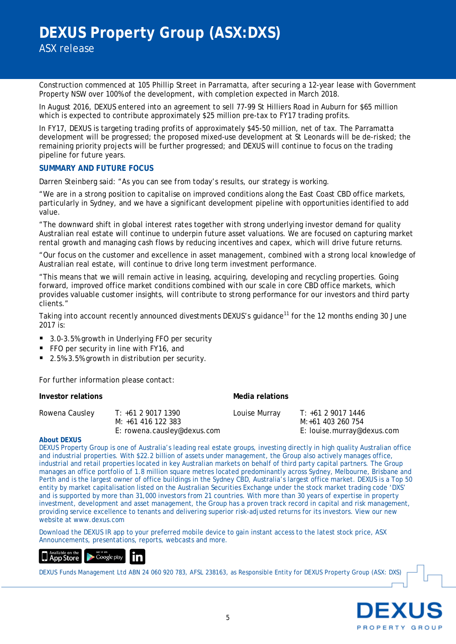Construction commenced at 105 Phillip Street in Parramatta, after securing a 12-year lease with Government Property NSW over 100% of the development, with completion expected in March 2018.

In August 2016, DEXUS entered into an agreement to sell 77-99 St Hilliers Road in Auburn for \$65 million which is expected to contribute approximately \$25 million pre-tax to FY17 trading profits.

In FY17, DEXUS is targeting trading profits of approximately \$45-50 million, net of tax. The Parramatta development will be progressed; the proposed mixed-use development at St Leonards will be de-risked; the remaining priority projects will be further progressed; and DEXUS will continue to focus on the trading pipeline for future years.

## **SUMMARY AND FUTURE FOCUS**

Darren Steinberg said: "As you can see from today's results, our strategy is working.

"We are in a strong position to capitalise on improved conditions along the East Coast CBD office markets, particularly in Sydney, and we have a significant development pipeline with opportunities identified to add value.

"The downward shift in global interest rates together with strong underlying investor demand for quality Australian real estate will continue to underpin future asset valuations. We are focused on capturing market rental growth and managing cash flows by reducing incentives and capex, which will drive future returns.

"Our focus on the customer and excellence in asset management, combined with a strong local knowledge of Australian real estate, will continue to drive long term investment performance.

"This means that we will remain active in leasing, acquiring, developing and recycling properties. Going forward, improved office market conditions combined with our scale in core CBD office markets, which provides valuable customer insights, will contribute to strong performance for our investors and third party clients."

Taking into account recently announced divestments DEXUS's guidance<sup>[11](#page-5-10)</sup> for the 12 months ending 30 June 2017 is:

- 3.0-3.5% growth in Underlying FFO per security
- FFO per security in line with FY16, and
- 2.5%-3.5% growth in distribution per security.

For further information please contact:

| Investor relations |                                                                         | Media relations |                                                                       |
|--------------------|-------------------------------------------------------------------------|-----------------|-----------------------------------------------------------------------|
| Rowena Causley     | T: +61 2 9017 1390<br>M: +61 416 122 383<br>E: rowena.causley@dexus.com | Louise Murray   | T: +61 2 9017 1446<br>M:+61 403 260 754<br>E: louise.murray@dexus.com |

#### **About DEXUS**

DEXUS Property Group is one of Australia's leading real estate groups, investing directly in high quality Australian office and industrial properties. With \$22.2 billion of assets under management, the Group also actively manages office, industrial and retail properties located in key Australian markets on behalf of third party capital partners. The Group manages an office portfolio of 1.8 million square metres located predominantly across Sydney, Melbourne, Brisbane and Perth and is the largest owner of office buildings in the Sydney CBD, Australia's largest office market. DEXUS is a Top 50 entity by market capitalisation listed on the Australian Securities Exchange under the stock market trading code 'DXS' and is supported by more than 31,000 investors from 21 countries. With more than 30 years of expertise in property investment, development and asset management, the Group has a proven track record in capital and risk management, providing service excellence to tenants and delivering superior risk-adjusted returns for its investors. View our new website at www.dexus.com

Download the DEXUS IR app to your preferred mobile device to gain instant access to the latest stock price, ASX Announcements, presentations, reports, webcasts and more.



DEXUS Funds Management Ltd ABN 24 060 920 783, AFSL 238163, as Responsible Entity for DEXUS Property Group (ASX: DXS)